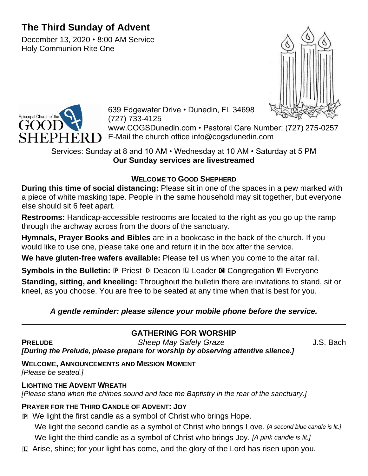# **The Third Sunday of Advent**

December 13, 2020 • 8:00 AM Service Holy Communion Rite One





639 Edgewater Drive • Dunedin, FL 34698 (727) 733-4125

www.COGSDunedin.com • Pastoral Care Number: (727) 275-0257 E-Mail the church office info@cogsdunedin.com

Services: Sunday at 8 and 10 AM • Wednesday at 10 AM • Saturday at 5 PM **Our Sunday services are livestreamed**

## **WELCOME TO GOOD SHEPHERD**

**During this time of social distancing:** Please sit in one of the spaces in a pew marked with a piece of white masking tape. People in the same household may sit together, but everyone else should sit 6 feet apart.

**Restrooms:** Handicap-accessible restrooms are located to the right as you go up the ramp through the archway across from the doors of the sanctuary.

**Hymnals, Prayer Books and Bibles** are in a bookcase in the back of the church. If you would like to use one, please take one and return it in the box after the service.

**We have gluten-free wafers available:** Please tell us when you come to the altar rail.

**Symbols in the Bulletin: P** Priest **D** Deacon **L** Leader **G** Congregation **M** Everyone

**Standing, sitting, and kneeling:** Throughout the bulletin there are invitations to stand, sit or kneel, as you choose. You are free to be seated at any time when that is best for you.

## *A gentle reminder: please silence your mobile phone before the service.*

## **GATHERING FOR WORSHIP**

**PRELUDE** *Sheep May Safely Graze* J.S. Bach *[During the Prelude, please prepare for worship by observing attentive silence.]*

## **WELCOME, ANNOUNCEMENTS AND MISSION MOMENT**

*[Please be seated.]*

### **LIGHTING THE ADVENT WREATH**

*[Please stand when the chimes sound and face the Baptistry in the rear of the sanctuary.]*

## **PRAYER FOR THE THIRD CANDLE OF ADVENT: JOY**

- P We light the first candle as a symbol of Christ who brings Hope. We light the second candle as a symbol of Christ who brings Love. *[A second blue candle is lit.]* We light the third candle as a symbol of Christ who brings Joy. *[A pink candle is lit.]*
- L Arise, shine; for your light has come, and the glory of the Lord has risen upon you.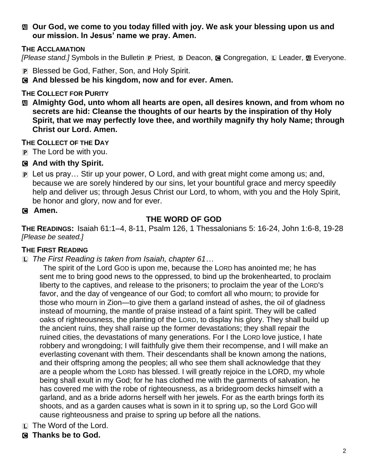a **Our God, we come to you today filled with joy. We ask your blessing upon us and our mission. In Jesus' name we pray. Amen.**

#### **THE ACCLAMATION**

*[Please stand.]* Symbols in the Bulletin **P** Priest, **D** Deacon, **G** Congregation, **L** Leader, **M** Everyone.

- P Blessed be God, Father, Son, and Holy Spirit.
- C **And blessed be his kingdom, now and for ever. Amen.**

#### **THE COLLECT FOR PURITY**

a **Almighty God, unto whom all hearts are open, all desires known, and from whom no secrets are hid: Cleanse the thoughts of our hearts by the inspiration of thy Holy Spirit, that we may perfectly love thee, and worthily magnify thy holy Name; through Christ our Lord. Amen.**

#### **THE COLLECT OF THE DAY**

- P The Lord be with you.
- C **And with thy Spirit.**
- P Let us pray… Stir up your power, O Lord, and with great might come among us; and, because we are sorely hindered by our sins, let your bountiful grace and mercy speedily help and deliver us; through Jesus Christ our Lord, to whom, with you and the Holy Spirit, be honor and glory, now and for ever.

#### C **Amen.**

### **THE WORD OF GOD**

**THE READINGS:** Isaiah 61:1–4, 8-11, Psalm 126, 1 Thessalonians 5: 16-24, John 1:6-8, 19-28 *[Please be seated.]*

#### **THE FIRST READING**

L *The First Reading is taken from Isaiah, chapter 61…*

The spirit of the Lord GOD is upon me, because the LORD has anointed me; he has sent me to bring good news to the oppressed, to bind up the brokenhearted, to proclaim liberty to the captives, and release to the prisoners; to proclaim the year of the LORD's favor, and the day of vengeance of our God; to comfort all who mourn; to provide for those who mourn in Zion—to give them a garland instead of ashes, the oil of gladness instead of mourning, the mantle of praise instead of a faint spirit. They will be called oaks of righteousness, the planting of the LORD, to display his glory. They shall build up the ancient ruins, they shall raise up the former devastations; they shall repair the ruined cities, the devastations of many generations. For I the LORD love justice, I hate robbery and wrongdoing; I will faithfully give them their recompense, and I will make an everlasting covenant with them. Their descendants shall be known among the nations, and their offspring among the peoples; all who see them shall acknowledge that they are a people whom the LORD has blessed. I will greatly rejoice in the LORD, my whole being shall exult in my God; for he has clothed me with the garments of salvation, he has covered me with the robe of righteousness, as a bridegroom decks himself with a garland, and as a bride adorns herself with her jewels. For as the earth brings forth its shoots, and as a garden causes what is sown in it to spring up, so the Lord GOD will cause righteousness and praise to spring up before all the nations.

- L The Word of the Lord.
- C **Thanks be to God.**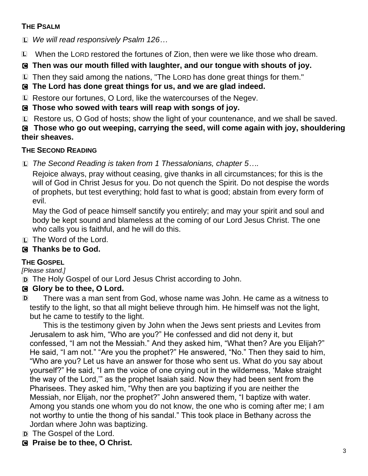### **THE PSALM**

L *We will read responsively Psalm 126…*

L When the LORD restored the fortunes of Zion, then were we like those who dream.

## C **Then was our mouth filled with laughter, and our tongue with shouts of joy.**

L Then they said among the nations, "The LORD has done great things for them."

C **The Lord has done great things for us, and we are glad indeed.**

L Restore our fortunes, O Lord, like the watercourses of the Negev.

C **Those who sowed with tears will reap with songs of joy.**

L Restore us, O God of hosts; show the light of your countenance, and we shall be saved.

C **Those who go out weeping, carrying the seed, will come again with joy, shouldering their sheaves.**

## **THE SECOND READING**

L *The Second Reading is taken from 1 Thessalonians, chapter 5….*

Rejoice always, pray without ceasing, give thanks in all circumstances; for this is the will of God in Christ Jesus for you. Do not quench the Spirit. Do not despise the words of prophets, but test everything; hold fast to what is good; abstain from every form of evil.

May the God of peace himself sanctify you entirely; and may your spirit and soul and body be kept sound and blameless at the coming of our Lord Jesus Christ. The one who calls you is faithful, and he will do this.

L The Word of the Lord.

## C **Thanks be to God.**

## **THE GOSPEL**

*[Please stand.]*

D The Holy Gospel of our Lord Jesus Christ according to John.

## C **Glory be to thee, O Lord.**

D There was a man sent from God, whose name was John. He came as a witness to testify to the light, so that all might believe through him. He himself was not the light, but he came to testify to the light.

This is the testimony given by John when the Jews sent priests and Levites from Jerusalem to ask him, "Who are you?" He confessed and did not deny it, but confessed, "I am not the Messiah." And they asked him, "What then? Are you Elijah?" He said, "I am not." "Are you the prophet?" He answered, "No." Then they said to him, "Who are you? Let us have an answer for those who sent us. What do you say about yourself?" He said, "I am the voice of one crying out in the wilderness, 'Make straight the way of the Lord,'" as the prophet Isaiah said. Now they had been sent from the Pharisees. They asked him, "Why then are you baptizing if you are neither the Messiah, nor Elijah, nor the prophet?" John answered them, "I baptize with water. Among you stands one whom you do not know, the one who is coming after me; I am not worthy to untie the thong of his sandal." This took place in Bethany across the Jordan where John was baptizing.

D The Gospel of the Lord.

C **Praise be to thee, O Christ.**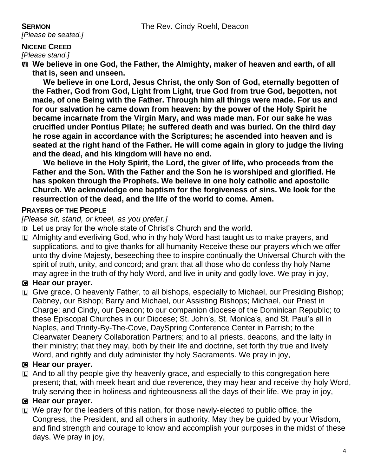*[Please be seated.]*

#### **NICENE CREED**

*[Please stand.]*

**M** We believe in one God, the Father, the Almighty, maker of heaven and earth, of all **that is, seen and unseen.** 

**We believe in one Lord, Jesus Christ, the only Son of God, eternally begotten of the Father, God from God, Light from Light, true God from true God, begotten, not made, of one Being with the Father. Through him all things were made. For us and for our salvation he came down from heaven: by the power of the Holy Spirit he became incarnate from the Virgin Mary, and was made man. For our sake he was crucified under Pontius Pilate; he suffered death and was buried. On the third day he rose again in accordance with the Scriptures; he ascended into heaven and is seated at the right hand of the Father. He will come again in glory to judge the living and the dead, and his kingdom will have no end.**

**We believe in the Holy Spirit, the Lord, the giver of life, who proceeds from the Father and the Son. With the Father and the Son he is worshiped and glorified. He has spoken through the Prophets. We believe in one holy catholic and apostolic Church. We acknowledge one baptism for the forgiveness of sins. We look for the resurrection of the dead, and the life of the world to come. Amen.**

### **PRAYERS OF THE PEOPLE**

*[Please sit, stand, or kneel, as you prefer.]*

- D Let us pray for the whole state of Christ's Church and the world.
- L Almighty and everliving God, who in thy holy Word hast taught us to make prayers, and supplications, and to give thanks for all humanity Receive these our prayers which we offer unto thy divine Majesty, beseeching thee to inspire continually the Universal Church with the spirit of truth, unity, and concord; and grant that all those who do confess thy holy Name may agree in the truth of thy holy Word, and live in unity and godly love. We pray in joy,

## C **Hear our prayer.**

L Give grace, O heavenly Father, to all bishops, especially to Michael, our Presiding Bishop; Dabney, our Bishop; Barry and Michael, our Assisting Bishops; Michael, our Priest in Charge; and Cindy, our Deacon; to our companion diocese of the Dominican Republic; to these Episcopal Churches in our Diocese; St. John's, St. Monica's, and St. Paul's all in Naples, and Trinity-By-The-Cove, DaySpring Conference Center in Parrish; to the Clearwater Deanery Collaboration Partners; and to all priests, deacons, and the laity in their ministry; that they may, both by their life and doctrine, set forth thy true and lively Word, and rightly and duly administer thy holy Sacraments. We pray in joy,

### C **Hear our prayer.**

 $\Box$  And to all thy people give thy heavenly grace, and especially to this congregation here present; that, with meek heart and due reverence, they may hear and receive thy holy Word, truly serving thee in holiness and righteousness all the days of their life. We pray in joy,

### C **Hear our prayer.**

L We pray for the leaders of this nation, for those newly-elected to public office, the Congress, the President, and all others in authority. May they be guided by your Wisdom, and find strength and courage to know and accomplish your purposes in the midst of these days. We pray in joy,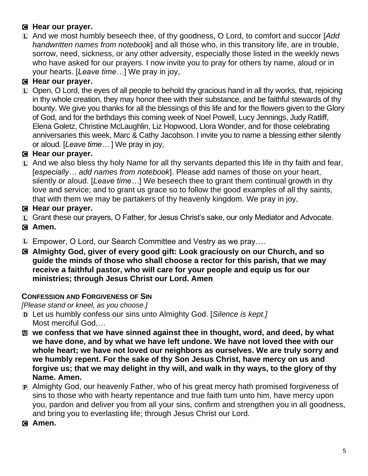## C **Hear our prayer.**

L And we most humbly beseech thee, of thy goodness, O Lord, to comfort and succor [*Add handwritten names from notebook*] and all those who, in this transitory life, are in trouble, sorrow, need, sickness, or any other adversity, especially those listed in the weekly news who have asked for our prayers. I now invite you to pray for others by name, aloud or in your hearts. [*Leave time…*] We pray in joy,

## C **Hear our prayer.**

 $\Box$  Open. O Lord, the eves of all people to behold thy gracious hand in all thy works, that, rejoicing in thy whole creation, they may honor thee with their substance, and be faithful stewards of thy bounty. We give you thanks for all the blessings of this life and for the flowers given to the Glory of God, and for the birthdays this coming week of Noel Powell, Lucy Jennings, Judy Ratliff, Elena Goletz, Christine McLaughlin, Liz Hopwood, Llora Wonder, and for those celebrating anniversaries this week, Marc & Cathy Jacobson. I invite you to name a blessing either silently or aloud. [*Leave time…* ] We pray in joy,

## C **Hear our prayer.**

 $\Box$  And we also bless thy holy Name for all thy servants departed this life in thy faith and fear, [*especially… add names from notebook*]. Please add names of those on your heart, silently or aloud. [*Leave time…*] We beseech thee to grant them continual growth in thy love and service; and to grant us grace so to follow the good examples of all thy saints, that with them we may be partakers of thy heavenly kingdom. We pray in joy,

### C **Hear our prayer.**

- L Grant these our prayers, O Father, for Jesus Christ's sake, our only Mediator and Advocate.
- C **Amen.**
- L Empower, O Lord, our Search Committee and Vestry as we pray….
- C **Almighty God, giver of every good gift: Look graciously on our Church, and so guide the minds of those who shall choose a rector for this parish, that we may receive a faithful pastor, who will care for your people and equip us for our ministries; through Jesus Christ our Lord. Amen**

#### **CONFESSION AND FORGIVENESS OF SIN**

*[Please stand or kneel, as you choose.]*

- D Let us humbly confess our sins unto Almighty God. [*Silence is kept.]*  Most merciful God,*…*
- a **we confess that we have sinned against thee in thought, word, and deed, by what we have done, and by what we have left undone. We have not loved thee with our whole heart; we have not loved our neighbors as ourselves. We are truly sorry and we humbly repent. For the sake of thy Son Jesus Christ, have mercy on us and forgive us; that we may delight in thy will, and walk in thy ways, to the glory of thy Name. Amen.**
- P Almighty God, our heavenly Father, who of his great mercy hath promised forgiveness of sins to those who with hearty repentance and true faith turn unto him, have mercy upon you, pardon and deliver you from all your sins, confirm and strengthen you in all goodness, and bring you to everlasting life; through Jesus Christ our Lord.
- C **Amen.**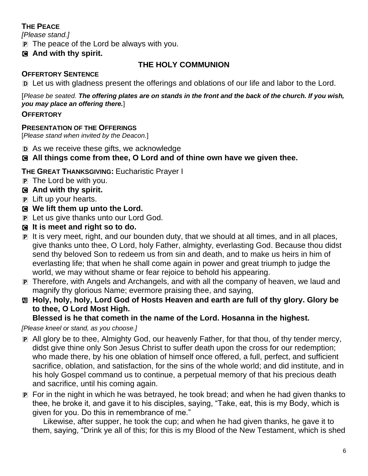## **THE PEACE**

*[Please stand.]*

 $\mathbf{P}$  The peace of the Lord be always with you.

#### C **And with thy spirit.**

### **THE HOLY COMMUNION**

#### **OFFERTORY SENTENCE**

D Let us with gladness present the offerings and oblations of our life and labor to the Lord.

[*Please be seated. The offering plates are on stands in the front and the back of the church. If you wish, you may place an offering there.*]

#### **OFFERTORY**

#### **PRESENTATION OF THE OFFERINGS**

[*Please stand when invited by the Deacon.*]

D As we receive these gifts, we acknowledge

### C **All things come from thee, O Lord and of thine own have we given thee.**

**THE GREAT THANKSGIVING:** Eucharistic Prayer I

P The Lord be with you.

#### C **And with thy spirit.**

- P Lift up your hearts.
- C **We lift them up unto the Lord.**
- P Let us give thanks unto our Lord God.
- C **It is meet and right so to do.**
- P It is very meet, right, and our bounden duty, that we should at all times, and in all places, give thanks unto thee, O Lord, holy Father, almighty, everlasting God. Because thou didst send thy beloved Son to redeem us from sin and death, and to make us heirs in him of everlasting life; that when he shall come again in power and great triumph to judge the world, we may without shame or fear rejoice to behold his appearing.
- P Therefore, with Angels and Archangels, and with all the company of heaven, we laud and magnify thy glorious Name; evermore praising thee, and saying,
- a **Holy, holy, holy, Lord God of Hosts Heaven and earth are full of thy glory. Glory be to thee, O Lord Most High.**

#### **Blessed is he that cometh in the name of the Lord. Hosanna in the highest.**

*[Please kneel or stand, as you choose.]*

- P All glory be to thee, Almighty God, our heavenly Father, for that thou, of thy tender mercy, didst give thine only Son Jesus Christ to suffer death upon the cross for our redemption; who made there, by his one oblation of himself once offered, a full, perfect, and sufficient sacrifice, oblation, and satisfaction, for the sins of the whole world; and did institute, and in his holy Gospel command us to continue, a perpetual memory of that his precious death and sacrifice, until his coming again.
- P For in the night in which he was betrayed, he took bread; and when he had given thanks to thee, he broke it, and gave it to his disciples, saying, "Take, eat, this is my Body, which is given for you. Do this in remembrance of me."

Likewise, after supper, he took the cup; and when he had given thanks, he gave it to them, saying, "Drink ye all of this; for this is my Blood of the New Testament, which is shed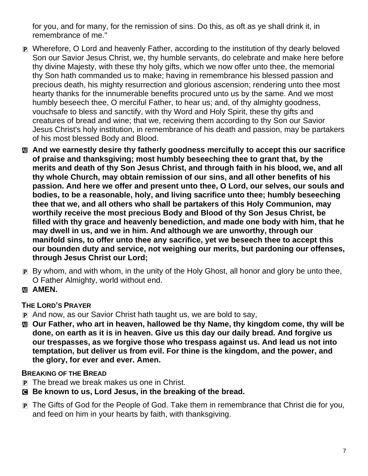for you, and for many, for the remission of sins. Do this, as oft as ye shall drink it, in remembrance of me."

- P Wherefore, O Lord and heavenly Father, according to the institution of thy dearly beloved Son our Savior Jesus Christ, we, thy humble servants, do celebrate and make here before thy divine Majesty, with these thy holy gifts, which we now offer unto thee, the memorial thy Son hath commanded us to make; having in remembrance his blessed passion and precious death, his mighty resurrection and glorious ascension; rendering unto thee most hearty thanks for the innumerable benefits procured unto us by the same. And we most humbly beseech thee, O merciful Father, to hear us; and, of thy almighty goodness, vouchsafe to bless and sanctify, with thy Word and Holy Spirit, these thy gifts and creatures of bread and wine; that we, receiving them according to thy Son our Savior Jesus Christ's holy institution, in remembrance of his death and passion, may be partakers of his most blessed Body and Blood.
- a **And we earnestly desire thy fatherly goodness mercifully to accept this our sacrifice of praise and thanksgiving; most humbly beseeching thee to grant that, by the merits and death of thy Son Jesus Christ, and through faith in his blood, we, and all thy whole Church, may obtain remission of our sins, and all other benefits of his passion. And here we offer and present unto thee, O Lord, our selves, our souls and bodies, to be a reasonable, holy, and living sacrifice unto thee; humbly beseeching thee that we, and all others who shall be partakers of this Holy Communion, may worthily receive the most precious Body and Blood of thy Son Jesus Christ, be filled with thy grace and heavenly benediction, and made one body with him, that he may dwell in us, and we in him. And although we are unworthy, through our manifold sins, to offer unto thee any sacrifice, yet we beseech thee to accept this our bounden duty and service, not weighing our merits, but pardoning our offenses, through Jesus Christ our Lord;**
- P By whom, and with whom, in the unity of the Holy Ghost, all honor and glory be unto thee, O Father Almighty, world without end.
- **M** AMEN.

## **THE LORD'S PRAYER**

- P And now, as our Savior Christ hath taught us, we are bold to say,
- $\text{M}$  **Our Father, who art in heaven, hallowed be thy Name, thy kingdom come, thy will be done, on earth as it is in heaven. Give us this day our daily bread. And forgive us our trespasses, as we forgive those who trespass against us. And lead us not into temptation, but deliver us from evil. For thine is the kingdom, and the power, and the glory, for ever and ever. Amen.**

#### **BREAKING OF THE BREAD**

- P The bread we break makes us one in Christ.
- C **Be known to us, Lord Jesus, in the breaking of the bread.**
- P The Gifts of God for the People of God. Take them in remembrance that Christ die for you, and feed on him in your hearts by faith, with thanksgiving.